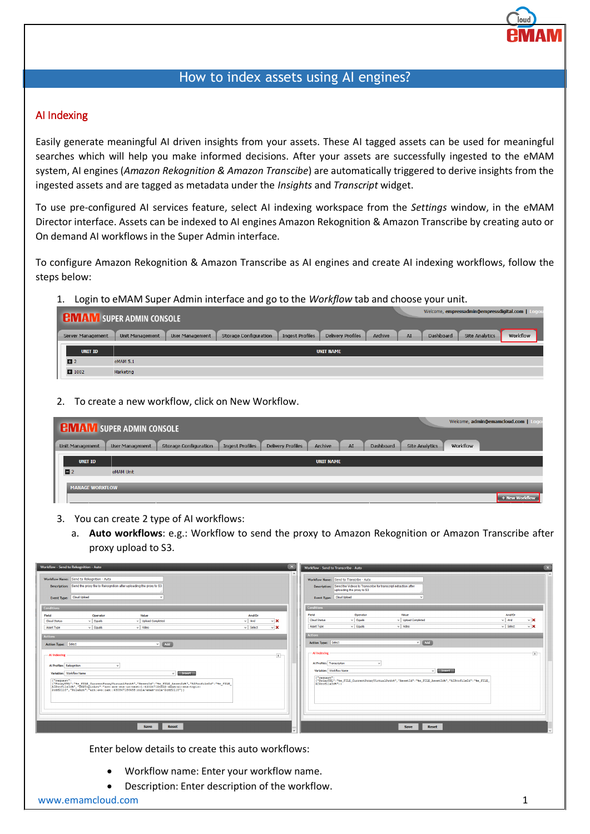## How to index assets using AI engines?

## AI Indexing

Easily generate meaningful AI driven insights from your assets. These AI tagged assets can be used for meaningful searches which will help you make informed decisions. After your assets are successfully ingested to the eMAM system, AI engines (*Amazon Rekognition & Amazon Transcibe*) are automatically triggered to derive insights from the ingested assets and are tagged as metadata under the *Insights* and *Transcript* widget.

To use pre-configured AI services feature, select AI indexing workspace from the *Settings* window, in the eMAM Director interface. Assets can be indexed to AI engines Amazon Rekognition & Amazon Transcribe by creating auto or On demand AI workflows in the Super Admin interface.

To configure Amazon Rekognition & Amazon Transcribe as AI engines and create AI indexing workflows, follow the steps below:

1. Login to eMAM Super Admin interface and go to the *Workflow* tab and choose your unit.

|                   | Welcome, empressadmin@empressdigital.com  <br><b>EMIANI SUPER ADMIN CONSOLE</b>                                                                                                                      |          |
|-------------------|------------------------------------------------------------------------------------------------------------------------------------------------------------------------------------------------------|----------|
| Server Management | <b>Archive</b><br>AI<br><b>Site Analytics</b><br><b>Delivery Profiles</b><br>Dashboard<br><b>Storage Configuration</b><br><b>Ingest Profiles</b><br><b>User Management</b><br><b>Unit Management</b> | Workflow |
| <b>UNIT ID</b>    | <b>UNIT NAME</b>                                                                                                                                                                                     |          |
| $\Box$ 2          | eMAM 5.1                                                                                                                                                                                             |          |
| ■ 1002            | Marketing                                                                                                                                                                                            |          |
|                   |                                                                                                                                                                                                      |          |

2. To create a new workflow, click on New Workflow.

|                        | <b>CHV AIV SUPER ADMIN CONSOLE</b> |                              |                        |                          |                  |    |                  |                       |          | Welcome, admin@emamcloud.com   Logou |
|------------------------|------------------------------------|------------------------------|------------------------|--------------------------|------------------|----|------------------|-----------------------|----------|--------------------------------------|
| <b>Unit Management</b> | <b>User Management</b>             | <b>Storage Configuration</b> | <b>Ingest Profiles</b> | <b>Delivery Profiles</b> | Archive          | AI | <b>Dashboard</b> | <b>Site Analytics</b> | Workflow |                                      |
| <b>UNIT ID</b>         |                                    |                              |                        |                          | <b>UNIT NAME</b> |    |                  |                       |          |                                      |
| $\blacksquare$         | eMAM Unit                          |                              |                        |                          |                  |    |                  |                       |          |                                      |
| <b>MANAGE WORKFLOW</b> |                                    |                              |                        |                          |                  |    |                  |                       |          |                                      |
|                        |                                    |                              |                        |                          |                  |    |                  |                       |          | + New Workflow                       |

- 3. You can create 2 type of AI workflows:
	- a. **Auto workflows**: e.g.: Workflow to send the proxy to Amazon Rekognition or Amazon Transcribe after proxy upload to S3.

| Workflow - Send to Rekognition - Auto                                                                                                                                                          | $\mathbf x$                                                                                                                                                                                                                 |
|------------------------------------------------------------------------------------------------------------------------------------------------------------------------------------------------|-----------------------------------------------------------------------------------------------------------------------------------------------------------------------------------------------------------------------------|
| $\mathbf{x}$                                                                                                                                                                                   | Workflow - Send to Transcribe - Auto                                                                                                                                                                                        |
| Workflow Name: Send to Rekognition - Auto<br>Description: Send the proxy file to Rekognition after uploading the proxy to S3<br>Cloud Upload<br>Event Type:                                    | $\sim$<br>Workflow Name: Send to Transcribe - Auto<br>Description: Send the Videos to Transcribe for transcript extraction after<br>uploading the proxy to S3<br>Event Type: Cloud Upload                                   |
| <b>Conditions</b><br>Value<br>Field<br>Operator<br>And/Or<br>$\vee$ X<br>$\vee$ Equals<br>v Upload Completed<br>$\vee$ And<br>Cloud Status                                                     | <b>Conditions</b><br>Value<br>And/Or<br>Field<br>Operator<br>$\vee$ Upload Completed<br>$\vee$ Equals<br>$\vee$ And<br>$\vee$ X<br>Cloud Status<br>$\vee$ Video<br>$\vee$ Select<br>$\vee$ X<br>$\vee$ Equals<br>Asset Type |
| $\vee$ Video<br>$\vee$ X<br>$\vee$ Equals<br>Asset Type<br>$\vee$ Select<br><b>Actions</b><br>$V$ $Add$<br>Action Type: Select                                                                 | <b>Actions</b><br>$\sqrt{4}$ $\sim$ $\sim$<br>Action Type: Select                                                                                                                                                           |
| $\mathbf{x}$                                                                                                                                                                                   | $\overline{\mathbf{x}}$                                                                                                                                                                                                     |
| - Al Indexing                                                                                                                                                                                  | - Al Indexing                                                                                                                                                                                                               |
| Al Profiles Rekognition                                                                                                                                                                        | Al Profiles Transcription                                                                                                                                                                                                   |
| Variables Workflow Name                                                                                                                                                                        | Variables Workflow Name                                                                                                                                                                                                     |
| <b>Insert</b>                                                                                                                                                                                  | Insert                                                                                                                                                                                                                      |
| $\sim$                                                                                                                                                                                         | $\checkmark$                                                                                                                                                                                                                |
| {"request":                                                                                                                                                                                    | {"request":                                                                                                                                                                                                                 |
| {"ProxyURL":"%e_FILE_CurrentProxyVirtualPath%", "AssetId": "%e_FILE_AssetId%", "AIProfileId":"%e_FILE_<br>AIProfileId%", "SNSTopicArn": "arn:aws:sns:us-west-1:430347186458:amam-ai-sns-topic- | {"ProxyURL":"\e_FILE_CurrentProxyVirtualPath\","AssetId":"\e_FILE_AssetId\","AIProfileId":"\e_FILE_                                                                                                                         |
| 2cdf2110", "RoleArn": "arn:aws:iam::430347186458:role/emam-role-2cdf2110"}}                                                                                                                    | AIProfileId("))                                                                                                                                                                                                             |
| <b>Reset</b>                                                                                                                                                                                   | Save                                                                                                                                                                                                                        |
| <b>Save</b>                                                                                                                                                                                    | Reset                                                                                                                                                                                                                       |

Enter below details to create this auto workflows:

- Workflow name: Enter your workflow name.
- Description: Enter description of the workflow.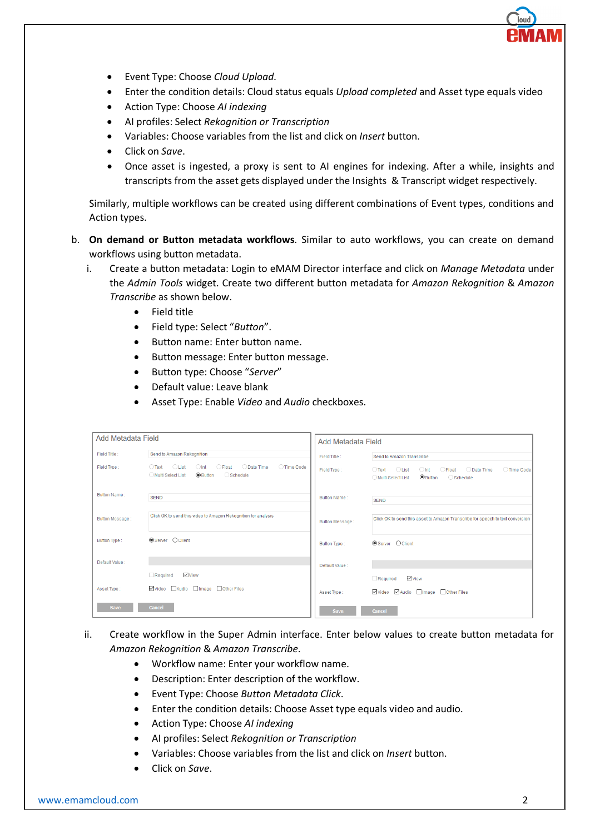- Event Type: Choose *Cloud Upload*.
- Enter the condition details: Cloud status equals *Upload completed* and Asset type equals video
- Action Type: Choose *AI indexing*
- AI profiles: Select *Rekognition or Transcription*
- Variables: Choose variables from the list and click on *Insert* button.
- Click on *Save*.
- Once asset is ingested, a proxy is sent to AI engines for indexing. After a while, insights and transcripts from the asset gets displayed under the Insights & Transcript widget respectively.

Similarly, multiple workflows can be created using different combinations of Event types, conditions and Action types.

- b. **On demand or Button metadata workflows**. Similar to auto workflows, you can create on demand workflows using button metadata.
	- i. Create a button metadata: Login to eMAM Director interface and click on *Manage Metadata* under the *Admin Tools* widget. Create two different button metadata for *Amazon Rekognition* & *Amazon Transcribe* as shown below.
		- Field title
		- Field type: Select "*Button*".
		- Button name: Enter button name.
		- Button message: Enter button message.
		- Button type: Choose "*Server*"
		- Default value: Leave blank
		- Asset Type: Enable *Video* and *Audio* checkboxes.

| <b>Add Metadata Field</b> |                                                                                                                                                        | <b>Add Metadata Field</b> |                                                                                                                                                        |  |  |
|---------------------------|--------------------------------------------------------------------------------------------------------------------------------------------------------|---------------------------|--------------------------------------------------------------------------------------------------------------------------------------------------------|--|--|
| Field Title:              | Send to Amazon Rekognition                                                                                                                             | Field Title :             | Send to Amazon Transcribe                                                                                                                              |  |  |
| Field Type:               | $\bigcap$ Text $\bigcap$ List<br>$\bigcirc$ Int<br>◯ Date Time<br>$\bigcirc$ Float<br>○ Time Code<br>Multi Select List<br><b> ■</b> Button<br>Schedule | Field Type:               | ◯ Date Time<br>◯ Time Code<br>$\bigcirc$ Text $\bigcirc$ List<br>$\bigcirc$ Int $\bigcirc$ Float<br><b>O</b> Button<br>Schedule<br>◯ Multi Select List |  |  |
| Button Name:              | <b>SEND</b>                                                                                                                                            | Button Name:              | <b>SEND</b>                                                                                                                                            |  |  |
| <b>Button Message:</b>    | Click OK to send this video to Amazon Rekognition for analysis                                                                                         | Button Message:           | Click OK to send this asset to Amazon Transcribe for speech to text conversion                                                                         |  |  |
| Button Type:              | <b>OServer</b> Oclient                                                                                                                                 | Button Type:              | <b>OServer</b> Oclient                                                                                                                                 |  |  |
| Default Value :           |                                                                                                                                                        | Default Value :           |                                                                                                                                                        |  |  |
|                           | √View<br>Required                                                                                                                                      |                           | $\vee$ View<br>Required                                                                                                                                |  |  |
| Asset Type:               | ☑Video audio almage aOther Files                                                                                                                       | Asset Type:               | ☑Video MAudio Image IOther Files                                                                                                                       |  |  |
| <b>Save</b>               | Cancel                                                                                                                                                 | <b>Save</b>               | <b>Cancel</b>                                                                                                                                          |  |  |

## ii. Create workflow in the Super Admin interface. Enter below values to create button metadata for *Amazon Rekognition* & *Amazon Transcribe*.

- Workflow name: Enter your workflow name.
- Description: Enter description of the workflow.
- Event Type: Choose *Button Metadata Click*.
- Enter the condition details: Choose Asset type equals video and audio.
- Action Type: Choose *AI indexing*
- AI profiles: Select *Rekognition or Transcription*
- Variables: Choose variables from the list and click on *Insert* button.
- Click on *Save*.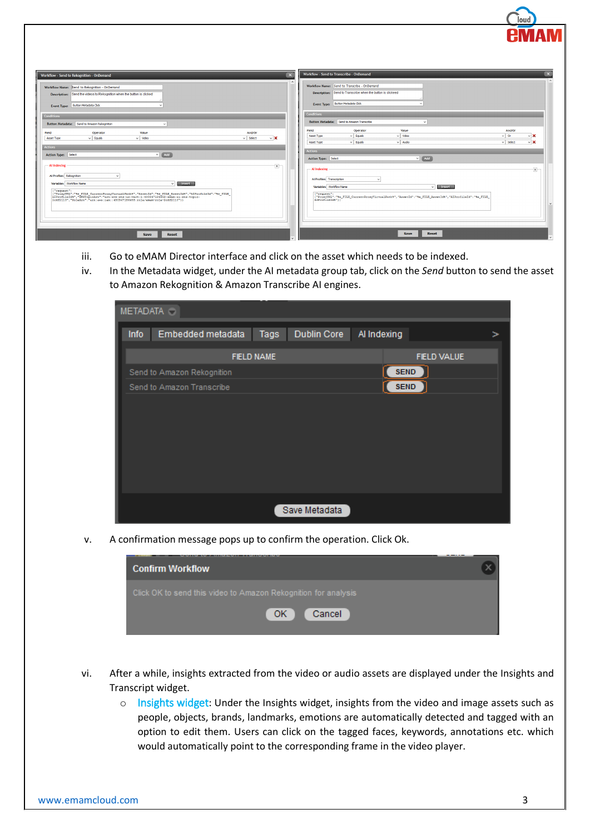|                                                                                                                                                                                                                                                     |                           |              |                     | Workflow - Send to Transcribe - OnDemand                    |                                                                                                     |                     |                         | $\boldsymbol{\mathsf{x}}$ |
|-----------------------------------------------------------------------------------------------------------------------------------------------------------------------------------------------------------------------------------------------------|---------------------------|--------------|---------------------|-------------------------------------------------------------|-----------------------------------------------------------------------------------------------------|---------------------|-------------------------|---------------------------|
| Workflow - Send to Rekognition - OnDemand                                                                                                                                                                                                           |                           | $\mathbf{x}$ |                     |                                                             |                                                                                                     |                     |                         |                           |
| Workflow Name: Send to Rekognition - OnDemand                                                                                                                                                                                                       |                           |              |                     | Workflow Name: Send to Transcribe - OnDemand                |                                                                                                     |                     |                         |                           |
| Description: Send the videos to Rekognition when the button is clicked                                                                                                                                                                              |                           |              |                     | Description: Send to Transcribe when the button is clickeed |                                                                                                     |                     |                         |                           |
|                                                                                                                                                                                                                                                     |                           |              |                     |                                                             |                                                                                                     |                     |                         |                           |
| Event Type: Button Metadata Click                                                                                                                                                                                                                   |                           |              |                     | Event Type: Button Metadata Click                           |                                                                                                     |                     |                         |                           |
|                                                                                                                                                                                                                                                     |                           |              | Conditions          |                                                             |                                                                                                     |                     |                         |                           |
| Conditions                                                                                                                                                                                                                                          |                           |              |                     | Button Metadata: Send to Amazon Transcribe                  | $\checkmark$                                                                                        |                     |                         |                           |
| Button Metadata: Send to Amazon Rekognition<br>$\checkmark$                                                                                                                                                                                         |                           |              |                     |                                                             |                                                                                                     |                     |                         |                           |
| Operator<br>Value<br>Field                                                                                                                                                                                                                          | And/Or                    |              | Field<br>Asset Type | Operator<br>$\vee$ Equals                                   | Value<br>$\vee$ Wdeo                                                                                | And/Or<br>$\vee$ Or | $~\vee$ X               |                           |
| $\vee$ Video<br>$\vee$ Equals<br>Asset Type                                                                                                                                                                                                         | $\vee$ Select<br>$\vee$ X |              | Asset Type          | $\vee$ Equals                                               | $\vee$ Audio                                                                                        | $\vee$ Select       | $\vee$ X                |                           |
| <b>Actions</b>                                                                                                                                                                                                                                      |                           |              |                     |                                                             |                                                                                                     |                     |                         |                           |
| $\sqrt{4}$ $\sim$ $\sqrt{4}$<br><b>Action Type: Select</b>                                                                                                                                                                                          |                           |              | Actions             |                                                             |                                                                                                     |                     |                         |                           |
|                                                                                                                                                                                                                                                     |                           |              | Action Type: Select |                                                             | $V$ $\sim$ $Add$                                                                                    |                     |                         |                           |
| - Al Indexing                                                                                                                                                                                                                                       | $\mathbf{x}$              |              | - Al Indexing       |                                                             |                                                                                                     |                     | $\overline{\mathbf{x}}$ |                           |
| Al Profiles Rekognition<br>$\sim$                                                                                                                                                                                                                   |                           |              |                     |                                                             |                                                                                                     |                     |                         |                           |
|                                                                                                                                                                                                                                                     |                           |              |                     | Al Profiles Transcription<br>$\vee$                         |                                                                                                     |                     |                         |                           |
| <b>Insert</b><br>Variables Workflow Name<br>$\checkmark$                                                                                                                                                                                            |                           |              |                     | Variables Workflow Name                                     | <b>Insert</b><br>$\checkmark$                                                                       |                     |                         |                           |
| ("request":<br>  -DROWYDET:"+% FILE_CurrentDroxyVirtualDath%","AssetId":"%@_FILE_AssetId%","AIDrofileId":"%@_FILE_<br> AIDrofileId%","SNSTopicArm":"*ariaws:sms:us=vest-1:430347186458:emax-ai-ms=topic-<br> 2cdf2110","RoleArm":"arn:aws:iam::4303 |                           |              | {"request":         |                                                             | ["ProxyURL":"\e_FILE_CurrentProxyVirtualPath\","AssetId":"\e_FILE_AssetId\","AIProfileId":"\e_FILE_ |                     |                         |                           |
|                                                                                                                                                                                                                                                     |                           |              |                     | AIProfileId*"}}                                             |                                                                                                     |                     |                         |                           |
|                                                                                                                                                                                                                                                     |                           |              |                     |                                                             |                                                                                                     |                     |                         |                           |
|                                                                                                                                                                                                                                                     |                           |              |                     |                                                             |                                                                                                     |                     |                         |                           |
|                                                                                                                                                                                                                                                     |                           |              |                     |                                                             |                                                                                                     |                     |                         |                           |
|                                                                                                                                                                                                                                                     |                           |              |                     |                                                             |                                                                                                     |                     |                         |                           |
| Save<br>Reset                                                                                                                                                                                                                                       |                           |              |                     |                                                             | Reset<br>Save                                                                                       |                     |                         |                           |
|                                                                                                                                                                                                                                                     |                           |              |                     |                                                             |                                                                                                     |                     |                         |                           |

- iii. Go to eMAM Director interface and click on the asset which needs to be indexed.
- iv. In the Metadata widget, under the AI metadata group tab, click on the *Send* button to send the asset to Amazon Rekognition & Amazon Transcribe AI engines.

|      | METADATA O                 |                   |                    |             |                    |   |
|------|----------------------------|-------------------|--------------------|-------------|--------------------|---|
| Info | Embedded metadata          | Tags              | <b>Dublin Core</b> | Al Indexing |                    | ⋗ |
|      |                            | <b>FIELD NAME</b> |                    |             | <b>FIELD VALUE</b> |   |
|      | Send to Amazon Rekognition |                   |                    | <b>SEND</b> |                    |   |
|      | Send to Amazon Transcribe  |                   |                    | <b>SEND</b> |                    |   |
|      |                            |                   |                    |             |                    |   |
|      |                            |                   |                    |             |                    |   |
|      |                            |                   |                    |             |                    |   |
|      |                            |                   |                    |             |                    |   |
|      |                            |                   |                    |             |                    |   |
|      |                            |                   |                    |             |                    |   |
|      |                            |                   |                    |             |                    |   |
|      |                            |                   | Save Metadata      |             |                    |   |

v. A confirmation message pops up to confirm the operation. Click Ok.

| <b>Confirm Workflow</b>                                        |  |
|----------------------------------------------------------------|--|
| Click OK to send this video to Amazon Rekognition for analysis |  |
| OK<br>Cancel                                                   |  |

- vi. After a while, insights extracted from the video or audio assets are displayed under the Insights and Transcript widget.
	- o Insights widget: Under the Insights widget, insights from the video and image assets such as people, objects, brands, landmarks, emotions are automatically detected and tagged with an option to edit them. Users can click on the tagged faces, keywords, annotations etc. which would automatically point to the corresponding frame in the video player.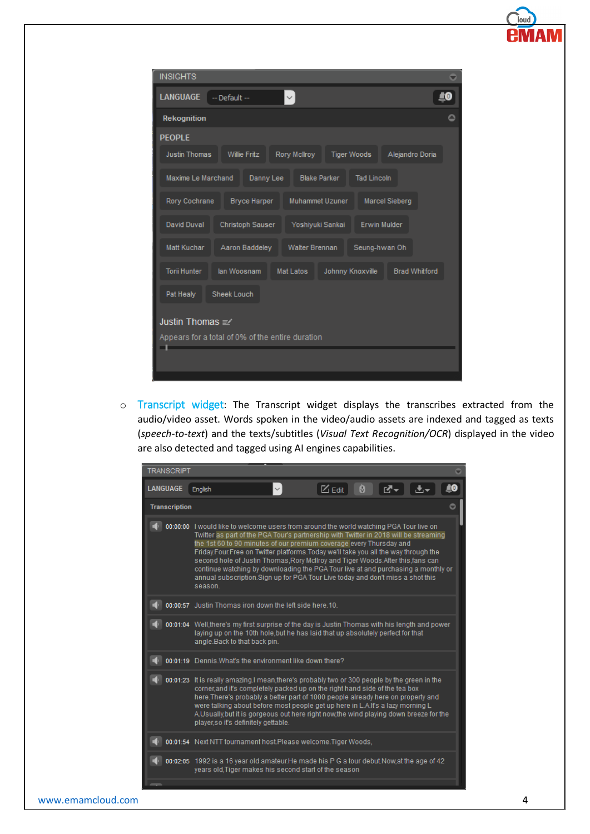| <b>INSIGHTS</b>      |                                                  |                     |                    |                       |  |
|----------------------|--------------------------------------------------|---------------------|--------------------|-----------------------|--|
| <b>LANGUAGE</b>      | $-$ Default $-$                                  |                     |                    |                       |  |
| Rekognition          |                                                  |                     |                    |                       |  |
| <b>PEOPLE</b>        |                                                  |                     |                    |                       |  |
| <b>Justin Thomas</b> | <b>Willie Fritz</b>                              | Rory McIlroy        | <b>Tiger Woods</b> | Alejandro Doria       |  |
| Maxime Le Marchand   | Danny Lee                                        | <b>Blake Parker</b> | <b>Tad Lincoln</b> |                       |  |
| Rory Cochrane        | <b>Bryce Harper</b>                              | Muhammet Uzuner     |                    | <b>Marcel Sieberg</b> |  |
| <b>David Duval</b>   | Christoph Sauser                                 | Yoshiyuki Sankai    |                    | <b>Erwin Mulder</b>   |  |
| Matt Kuchar          | Aaron Baddeley                                   | Walter Brennan      |                    | Seung-hwan Oh         |  |
| <b>Torii Hunter</b>  | lan Woosnam                                      | <b>Mat Latos</b>    | Johnny Knoxville   | <b>Brad Whitford</b>  |  |
| Pat Healy            | <b>Sheek Louch</b>                               |                     |                    |                       |  |
| Justin Thomas =      |                                                  |                     |                    |                       |  |
|                      | Appears for a total of 0% of the entire duration |                     |                    |                       |  |
|                      |                                                  |                     |                    |                       |  |
|                      |                                                  |                     |                    |                       |  |

o Transcript widget: The Transcript widget displays the transcribes extracted from the audio/video asset. Words spoken in the video/audio assets are indexed and tagged as texts (*speech-to-text*) and the texts/subtitles (*Visual Text Recognition/OCR*) displayed in the video are also detected and tagged using AI engines capabilities.

| <b>TRANSCRIPT</b>    |                                                                                                                                                                                                                                                                                                                                                                                                                                                                                                                                                                                                                       |          |                                   |    |
|----------------------|-----------------------------------------------------------------------------------------------------------------------------------------------------------------------------------------------------------------------------------------------------------------------------------------------------------------------------------------------------------------------------------------------------------------------------------------------------------------------------------------------------------------------------------------------------------------------------------------------------------------------|----------|-----------------------------------|----|
| <b>LANGUAGE</b>      | English                                                                                                                                                                                                                                                                                                                                                                                                                                                                                                                                                                                                               | $Z$ Edit | $\theta$ $\sigma$ $\sim$ $\theta$ | 大大 |
| <b>Transcription</b> |                                                                                                                                                                                                                                                                                                                                                                                                                                                                                                                                                                                                                       |          |                                   |    |
|                      | 00:00:00 I would like to welcome users from around the world watching PGA Tour live on<br>Twitter as part of the PGA Tour's partnership with Twitter in 2018 will be streaming<br>the 1st 60 to 90 minutes of our premium coverage every Thursday and<br>Friday, Four, Free on Twitter platforms, Today we'll take you all the way through the<br>second hole of Justin Thomas, Rory McIlroy and Tiger Woods. After this, fans can<br>continue watching by downloading the PGA Tour live at and purchasing a monthly or<br>annual subscription. Sign up for PGA Tour Live today and don't miss a shot this<br>season. |          |                                   |    |
|                      | 00:00:57 Justin Thomas iron down the left side here.10.                                                                                                                                                                                                                                                                                                                                                                                                                                                                                                                                                               |          |                                   |    |
|                      | 00:01:04 Well,there's my first surprise of the day is Justin Thomas with his length and power<br>laying up on the 10th hole, but he has laid that up absolutely perfect for that<br>angle.Back to that back pin.                                                                                                                                                                                                                                                                                                                                                                                                      |          |                                   |    |
|                      | 00:01:19 Dennis. What's the environment like down there?                                                                                                                                                                                                                                                                                                                                                                                                                                                                                                                                                              |          |                                   |    |
|                      | 00:01:23 It is really amazing.I mean,there's probably two or 300 people by the green in the<br>corner, and it's completely packed up on the right hand side of the tea box<br>here. There's probably a better part of 1000 people already here on property and<br>were talking about before most people get up here in L.A.It's a lazy morning L.<br>A.Usually, but it is gorgeous out here right now, the wind playing down breeze for the<br>player, so it's definitely gettable.                                                                                                                                   |          |                                   |    |
|                      | 00:01:54 Next NTT tournament host.Please welcome.Tiger Woods,                                                                                                                                                                                                                                                                                                                                                                                                                                                                                                                                                         |          |                                   |    |
|                      | 00:02:05 1992 is a 16 year old amateur.He made his P G a tour debut.Now,at the age of 42<br>years old, Tiger makes his second start of the season                                                                                                                                                                                                                                                                                                                                                                                                                                                                     |          |                                   |    |
|                      |                                                                                                                                                                                                                                                                                                                                                                                                                                                                                                                                                                                                                       |          |                                   |    |